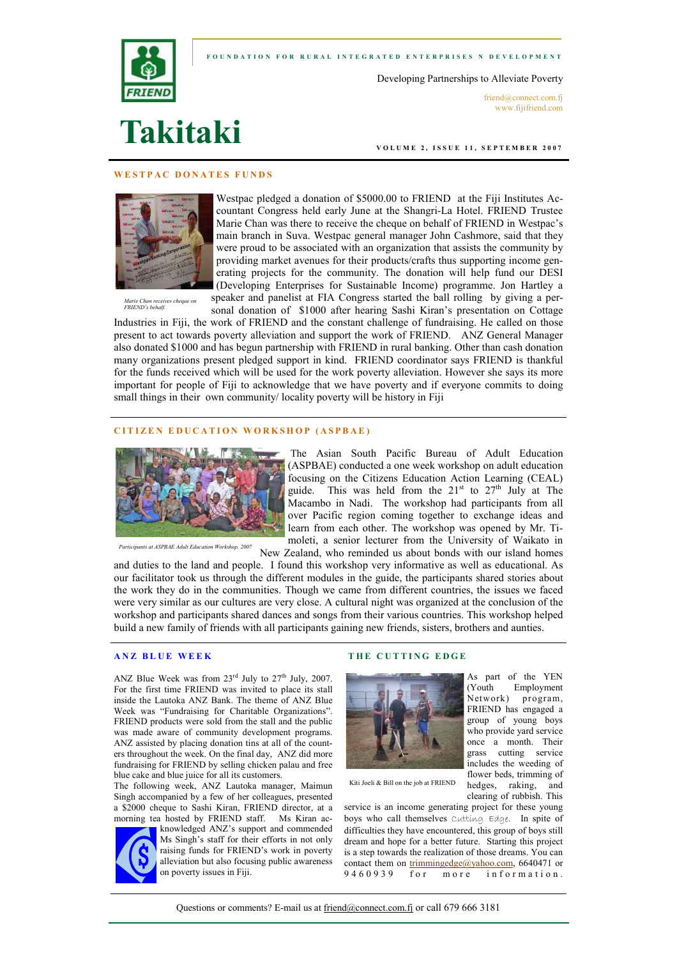



Developing Partnerships to Alleviate Poverty

friend@connect.com.fj www.fijifriend.com

# Takitaki

VOLUME 2, ISSUE 11, SEPTEMBER 2007

### WESTPAC DONATES FUNDS



Westpac pledged a donation of \$5000.00 to FRIEND at the Fiji Institutes Accountant Congress held early June at the Shangri-La Hotel. FRIEND Trustee Marie Chan was there to receive the cheque on behalf of FRIEND in Westpac's main branch in Suva. Westpac general manager John Cashmore, said that they were proud to be associated with an organization that assists the community by providing market avenues for their products/crafts thus supporting income generating projects for the community. The donation will help fund our DESI (Developing Enterprises for Sustainable Income) programme. Jon Hartley a

Marie Chan receives cheque on FRIEND's behalf.

speaker and panelist at FIA Congress started the ball rolling by giving a personal donation of \$1000 after hearing Sashi Kiran's presentation on Cottage

Industries in Fiji, the work of FRIEND and the constant challenge of fundraising. He called on those present to act towards poverty alleviation and support the work of FRIEND. ANZ General Manager also donated \$1000 and has begun partnership with FRIEND in rural banking. Other than cash donation many organizations present pledged support in kind. FRIEND coordinator says FRIEND is thankful for the funds received which will be used for the work poverty alleviation. However she says its more important for people of Fiji to acknowledge that we have poverty and if everyone commits to doing small things in their own community/ locality poverty will be history in Fiji

#### CITIZEN EDUCATION WORKSHOP (ASPBAE)



Participants at ASPBAE Adult Education Workshop, 2007

 The Asian South Pacific Bureau of Adult Education (ASPBAE) conducted a one week workshop on adult education focusing on the Citizens Education Action Learning (CEAL) guide. This was held from the  $21<sup>st</sup>$  to  $27<sup>th</sup>$  July at The Macambo in Nadi. The workshop had participants from all over Pacific region coming together to exchange ideas and learn from each other. The workshop was opened by Mr. Timoleti, a senior lecturer from the University of Waikato in

New Zealand, who reminded us about bonds with our island homes and duties to the land and people. I found this workshop very informative as well as educational. As

our facilitator took us through the different modules in the guide, the participants shared stories about the work they do in the communities. Though we came from different countries, the issues we faced were very similar as our cultures are very close. A cultural night was organized at the conclusion of the workshop and participants shared dances and songs from their various countries. This workshop helped build a new family of friends with all participants gaining new friends, sisters, brothers and aunties.

### ANZ BLUE WEEK

ANZ Blue Week was from  $23^{\text{rd}}$  July to  $27^{\text{th}}$  July, 2007. For the first time FRIEND was invited to place its stall inside the Lautoka ANZ Bank. The theme of ANZ Blue Week was "Fundraising for Charitable Organizations". FRIEND products were sold from the stall and the public was made aware of community development programs. ANZ assisted by placing donation tins at all of the counters throughout the week. On the final day, ANZ did more fundraising for FRIEND by selling chicken palau and free blue cake and blue juice for all its customers.

The following week, ANZ Lautoka manager, Maimun Singh accompanied by a few of her colleagues, presented a \$2000 cheque to Sashi Kiran, FRIEND director, at a morning tea hosted by FRIEND staff. Ms Kiran ac-



knowledged ANZ's support and commended Ms Singh's staff for their efforts in not only raising funds for FRIEND's work in poverty alleviation but also focusing public awareness on poverty issues in Fiji.

### THE CUTTING EDGE



Kiti Joeli & Bill on the job at FRIEND

clearing of rubbish. This service is an income generating project for these young boys who call themselves Cutting Edge. In spite of difficulties they have encountered, this group of boys still dream and hope for a better future. Starting this project is a step towards the realization of those dreams. You can contact them on trimmingedge@yahoo.com, 6640471 or 9460939 for more information.

hedges, raking, and

Questions or comments? E-mail us at friend@connect.com.fj or call 679 666 3181